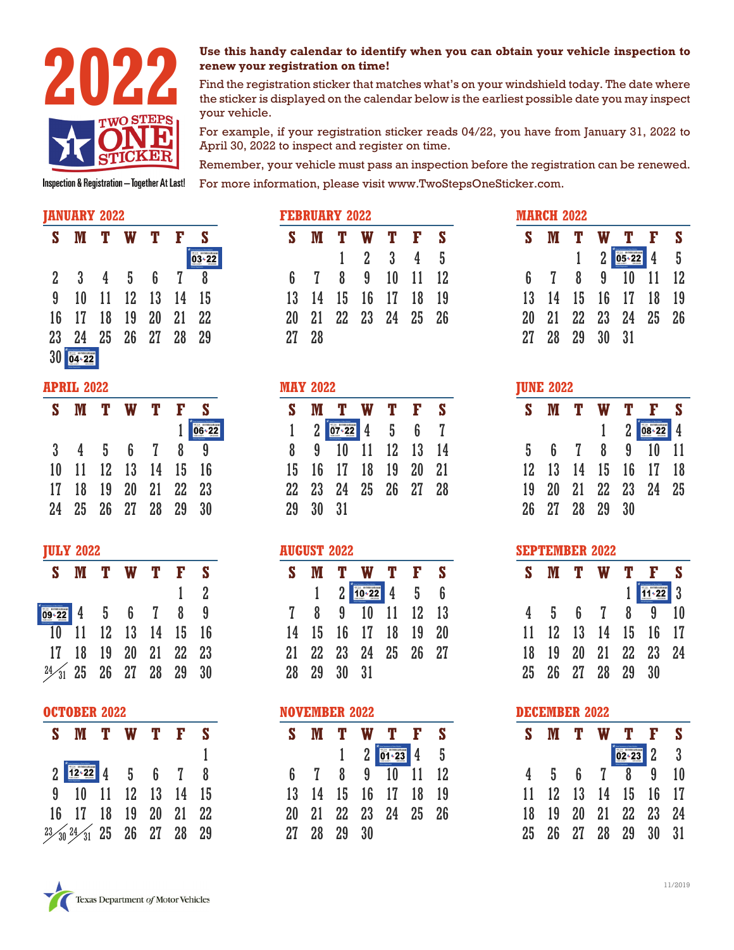

# **renew your registration on time!**

**2022 2022 2022 2023 Use this handy calendar to identify when you can obtain your vehicle inspection to renew your registration on time!<br>Find the registration sticker that matches what's on your windshield today. T** Find the registration sticker that matches what's on your windshield today. The date where the sticker is displayed on the calendar below is the earliest possible date you may inspect your vehicle.

> For example, if your registration sticker reads 04/22, you have from January 31, 2022 to April 30, 2022 to inspect and register on time.

> Remember, your vehicle must pass an inspection before the registration can be renewed. For more information, please visit www.TwoStepsOneSticker.com.

#### **JANUARY 2022**

| S               | M        |                | T W T           |                 | -F.            | S    |
|-----------------|----------|----------------|-----------------|-----------------|----------------|------|
|                 |          |                |                 |                 |                |      |
| 2               | -3       | $\overline{4}$ | $5\overline{)}$ | $6\overline{6}$ | $\overline{7}$ | 8    |
| 9               | 10       |                | 11 12 13 14 15  |                 |                |      |
|                 | 16 17 18 |                | 19 20           |                 | 21             | - 22 |
| 23 <sub>2</sub> | -24      |                | 25 26 27 28     |                 |                | - 29 |
| 30              |          |                |                 |                 |                |      |

#### **APRIL 2022**

| S. | M  |   | T W                | - T            | $\mathbf{F}$ | S   |
|----|----|---|--------------------|----------------|--------------|-----|
|    |    |   |                    |                |              | 06+ |
| 3  | 4  | 5 | $6\overline{6}$    | $\overline{7}$ | 8            | 9   |
| 10 | 11 |   | 12 13 14 15 16     |                |              |     |
| 17 | 18 |   | 19 20 21 22 23     |                |              |     |
| 24 |    |   | 25  26  27  28  29 |                |              | 30  |

#### **JULY 2022**

|                                      | S M T W T F S                     |  |             |
|--------------------------------------|-----------------------------------|--|-------------|
|                                      |                                   |  | $1 \quad 2$ |
| $\frac{1}{109 \cdot 22}$ 4 5 6 7 8 9 |                                   |  |             |
|                                      | $\overline{10}$ 11 12 13 14 15 16 |  |             |
|                                      | 17 18 19 20 21 22 23              |  |             |
| $24\frac{1}{31}$ 25 26 27 28 29 30   |                                   |  |             |

#### **OCTOBER 2022**

| S M T W T F S                                                                             |  |  |  |
|-------------------------------------------------------------------------------------------|--|--|--|
|                                                                                           |  |  |  |
| $2 \begin{array}{ c c c c c c } \hline 12 & 22 & 4 & 5 & 6 & 7 & 8 \\ \hline \end{array}$ |  |  |  |
| 9 10 11 12 13 14 15                                                                       |  |  |  |
| 16 17 18 19 20 21 22                                                                      |  |  |  |
| $23/30$ $24/31$ 25 26 27 28 29                                                            |  |  |  |

| <b>FEBRUARY 2022</b> |  |  |  |  |                                                                                                       |  |  |  |  |  |
|----------------------|--|--|--|--|-------------------------------------------------------------------------------------------------------|--|--|--|--|--|
|                      |  |  |  |  |                                                                                                       |  |  |  |  |  |
|                      |  |  |  |  |                                                                                                       |  |  |  |  |  |
|                      |  |  |  |  |                                                                                                       |  |  |  |  |  |
|                      |  |  |  |  |                                                                                                       |  |  |  |  |  |
|                      |  |  |  |  |                                                                                                       |  |  |  |  |  |
| 27 28                |  |  |  |  |                                                                                                       |  |  |  |  |  |
|                      |  |  |  |  | <b>MTWTFS</b><br>$1 \t2 \t3 \t4 \t5$<br>6 7 8 9 10 11 12<br>13 14 15 16 17 18 19<br>21 22 23 24 25 26 |  |  |  |  |  |

### **MAY 2022**

| S  |                 | M T W T                      |                | $\mathbf{F}$ | S  |
|----|-----------------|------------------------------|----------------|--------------|----|
|    | 2 <sup>1</sup>  | $\overline{07 \cdot 22}$ 4 5 |                | 6            | 7  |
| 8  | 9               |                              | 10 11 12 13 14 |              |    |
| 15 |                 | 16 17 18                     | 19 20          |              | 21 |
| 22 | 23 <sub>o</sub> | 24 25 26 27 28               |                |              |    |
| 29 | 30              | 31                           |                |              |    |

#### **AUGUST 2022**

| S. |                | M T W T F S                                             |  |     |
|----|----------------|---------------------------------------------------------|--|-----|
|    |                | $2 \begin{array}{ l } \hline 10.22 & 4 & 5 \end{array}$ |  | - 6 |
| 7  | 8 <sub>1</sub> | 9 10 11 12 13                                           |  |     |
| 14 |                | 15 16 17 18 19 20                                       |  |     |
| 21 |                | 22 23 24 25 26 27                                       |  |     |
|    | 28 29 30 31    |                                                         |  |     |

#### **NOVEMBER 2022**

| S  | M            | $\mathbf{T}$ |   | W T F               | <b>S</b> |
|----|--------------|--------------|---|---------------------|----------|
|    |              |              | 2 | $\boxed{01 - 23}$ 4 | 5        |
| 6  | $\mathbf{7}$ |              |   | 8 9 10 11 12        |          |
| 13 |              |              |   | 14 15 16 17 18 19   |          |
| 20 |              |              |   | 21 22 23 24 25 26   |          |
| 27 |              | 28 29 30     |   |                     |          |

| <b>MARCH 2022</b> |    |       |                |             |                |           |  |  |  |
|-------------------|----|-------|----------------|-------------|----------------|-----------|--|--|--|
| S                 | M  | т     | W              | T.          | $\mathbf{F}$   | S         |  |  |  |
|                   |    |       | $\overline{2}$ |             | $\overline{4}$ | 5         |  |  |  |
| 6                 | 7  | 8     | 9              | 10          | 11             | <b>12</b> |  |  |  |
| 13                | 14 |       |                | 15 16 17 18 |                | 19        |  |  |  |
| 20                | 21 | 22 23 |                | 24 25 26    |                |           |  |  |  |
| 27                | 28 | 29    | 30             | 31          |                |           |  |  |  |

## **JUNE 2022**

| S.              | M               |                | T W T F        |                |                   | $\mathbf{s}$   |
|-----------------|-----------------|----------------|----------------|----------------|-------------------|----------------|
|                 |                 |                |                | 2 <sup>1</sup> |                   | $\overline{4}$ |
| 5               | 6               | $\overline{7}$ | 8              | 9              | $10 \quad 11$     |                |
| 12 <sup>°</sup> |                 |                |                |                | 13 14 15 16 17 18 |                |
| 19              | 20 <sub>2</sub> |                |                |                | 21 22 23 24 25    |                |
| 26              |                 |                | 27  28  29  30 |                |                   |                |
|                 |                 |                |                |                |                   |                |

#### **SEPTEMBER 2022**

| S  |                 | Ŧ.     | W              | Т  | F               | S   |
|----|-----------------|--------|----------------|----|-----------------|-----|
|    |                 |        |                |    | $\overline{22}$ | l 3 |
| 4  | 5               | 6      | $\overline{1}$ | 8  | 9               | 10  |
| 11 | 12 <sup>°</sup> | 13     | 14             | 15 | 16              | 17  |
| 18 | 19              | $20\,$ | 21             |    | 22 23           | 24  |
| 25 | 26 <sup>°</sup> |        | 27 28 29       |    | 30              |     |

# **DECEMBER 2022 S M T W T F S**  $02 - 23$  2 3 4 5 6 7 8 9 10